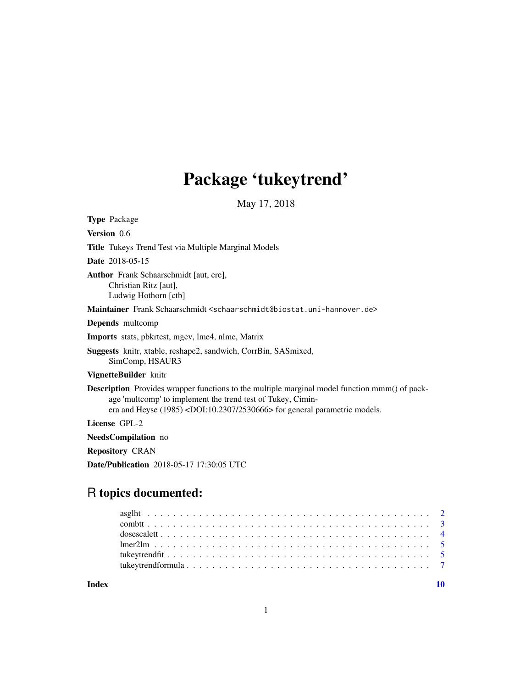## Package 'tukeytrend'

May 17, 2018

Type Package Version 0.6 Title Tukeys Trend Test via Multiple Marginal Models Date 2018-05-15 Author Frank Schaarschmidt [aut, cre], Christian Ritz [aut], Ludwig Hothorn [ctb] Maintainer Frank Schaarschmidt <schaarschmidt@biostat.uni-hannover.de> Depends multcomp Imports stats, pbkrtest, mgcv, lme4, nlme, Matrix Suggests knitr, xtable, reshape2, sandwich, CorrBin, SASmixed, SimComp, HSAUR3 VignetteBuilder knitr Description Provides wrapper functions to the multiple marginal model function mmm() of package 'multcomp' to implement the trend test of Tukey, Ciminera and Heyse (1985) <DOI:10.2307/2530666> for general parametric models. License GPL-2 NeedsCompilation no Repository CRAN

Date/Publication 2018-05-17 17:30:05 UTC

### R topics documented:

 $\blacksquare$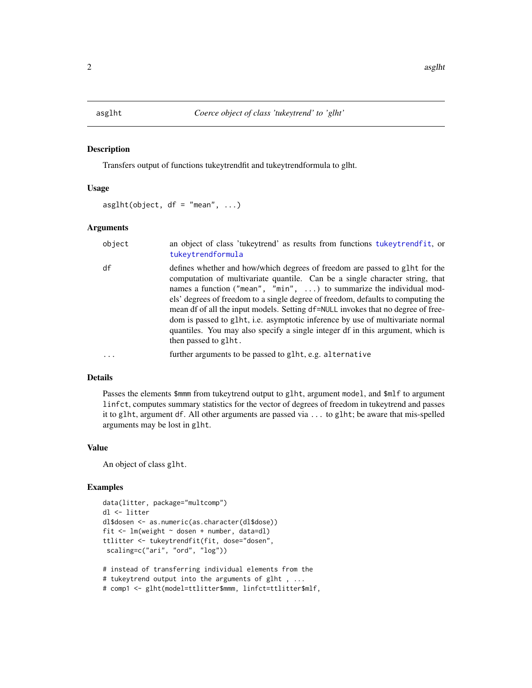<span id="page-1-1"></span><span id="page-1-0"></span>

#### Description

Transfers output of functions tukeytrendfit and tukeytrendformula to glht.

#### Usage

```
asglht(object, df = "mean", ...)
```
#### Arguments

| object | an object of class 'tukeytrend' as results from functions tukeytrendfit, or<br>tukeytrendformula                                                                                                                                                                                                                                                                                                                                                                                                                                                                                                       |
|--------|--------------------------------------------------------------------------------------------------------------------------------------------------------------------------------------------------------------------------------------------------------------------------------------------------------------------------------------------------------------------------------------------------------------------------------------------------------------------------------------------------------------------------------------------------------------------------------------------------------|
| df     | defines whether and how/which degrees of freedom are passed to glht for the<br>computation of multivariate quantile. Can be a single character string, that<br>names a function ("mean", "min", ) to summarize the individual mod-<br>els' degrees of freedom to a single degree of freedom, defaults to computing the<br>mean df of all the input models. Setting df=NULL invokes that no degree of free-<br>dom is passed to g1ht, i.e. asymptotic inference by use of multivariate normal<br>quantiles. You may also specify a single integer df in this argument, which is<br>then passed to glht. |
|        | further arguments to be passed to glht, e.g. alternative                                                                                                                                                                                                                                                                                                                                                                                                                                                                                                                                               |

#### Details

Passes the elements \$mmm from tukeytrend output to glht, argument model, and \$mlf to argument linfct, computes summary statistics for the vector of degrees of freedom in tukeytrend and passes it to glht, argument df. All other arguments are passed via ... to glht; be aware that mis-spelled arguments may be lost in glht.

#### Value

An object of class glht.

#### Examples

```
data(litter, package="multcomp")
dl <- litter
dl$dosen <- as.numeric(as.character(dl$dose))
fit \leq lm(weight \sim dosen + number, data=dl)
ttlitter <- tukeytrendfit(fit, dose="dosen",
 scaling=c("ari", "ord", "log"))
# instead of transferring individual elements from the
# tukeytrend output into the arguments of glht , ...
# comp1 <- glht(model=ttlitter$mmm, linfct=ttlitter$mlf,
```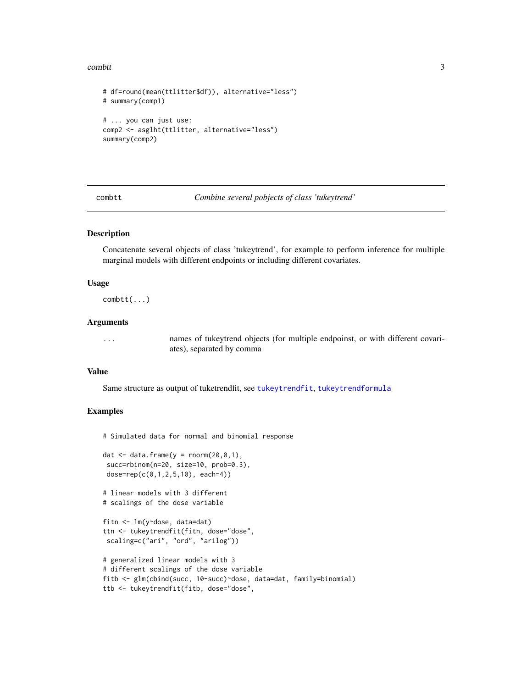#### <span id="page-2-0"></span>combtt 3

```
# df=round(mean(ttlitter$df)), alternative="less")
# summary(comp1)
# ... you can just use:
comp2 <- asglht(ttlitter, alternative="less")
summary(comp2)
```
<span id="page-2-1"></span>combtt *Combine several pobjects of class 'tukeytrend'*

#### Description

Concatenate several objects of class 'tukeytrend', for example to perform inference for multiple marginal models with different endpoints or including different covariates.

#### Usage

combtt(...)

#### Arguments

... names of tukeytrend objects (for multiple endpoinst, or with different covariates), separated by comma

#### Value

Same structure as output of tuketrendfit, see [tukeytrendfit](#page-4-1), [tukeytrendformula](#page-6-1)

#### Examples

# Simulated data for normal and binomial response

```
dat \leq data.frame(y = rnorm(20,0,1),
succ=rbinom(n=20, size=10, prob=0.3),
dose=rep(c(0,1,2,5,10), each=4))
```

```
# linear models with 3 different
# scalings of the dose variable
```

```
fitn <- lm(y~dose, data=dat)
ttn <- tukeytrendfit(fitn, dose="dose",
scaling=c("ari", "ord", "arilog"))
```

```
# generalized linear models with 3
# different scalings of the dose variable
fitb <- glm(cbind(succ, 10-succ)~dose, data=dat, family=binomial)
ttb <- tukeytrendfit(fitb, dose="dose",
```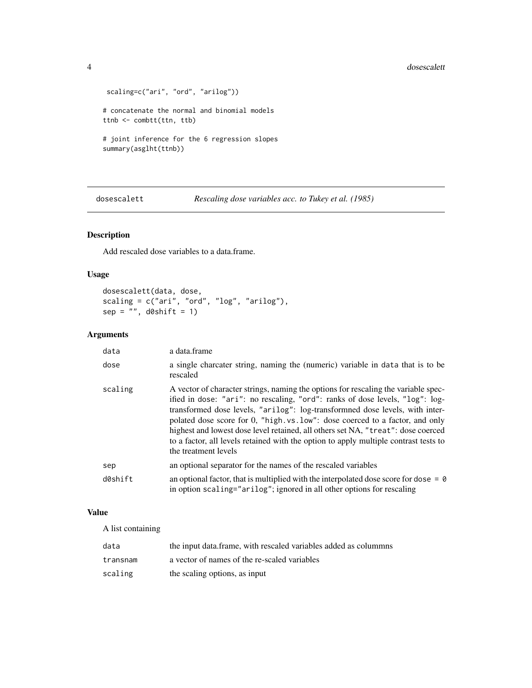```
scaling=c("ari", "ord", "arilog"))
# concatenate the normal and binomial models
ttnb <- combtt(ttn, ttb)
# joint inference for the 6 regression slopes
summary(asglht(ttnb))
```
dosescalett *Rescaling dose variables acc. to Tukey et al. (1985)*

#### Description

Add rescaled dose variables to a data.frame.

#### Usage

dosescalett(data, dose, scaling = c("ari", "ord", "log", "arilog"), sep = "", d0shift = 1)

#### Arguments

| data    | a data.frame                                                                                                                                                                                                                                                                                                                                                                                                                                                                                                                            |
|---------|-----------------------------------------------------------------------------------------------------------------------------------------------------------------------------------------------------------------------------------------------------------------------------------------------------------------------------------------------------------------------------------------------------------------------------------------------------------------------------------------------------------------------------------------|
| dose    | a single charcater string, naming the (numeric) variable in data that is to be<br>rescaled                                                                                                                                                                                                                                                                                                                                                                                                                                              |
| scaling | A vector of character strings, naming the options for rescaling the variable spec-<br>ified in dose: "ari": no rescaling, "ord": ranks of dose levels, "log": log-<br>transformed dose levels, "arilog": log-transformned dose levels, with inter-<br>polated dose score for 0, "high. vs. low": dose coerced to a factor, and only<br>highest and lowest dose level retained, all others set NA, "treat": dose coerced<br>to a factor, all levels retained with the option to apply multiple contrast tests to<br>the treatment levels |
| sep     | an optional separator for the names of the rescaled variables                                                                                                                                                                                                                                                                                                                                                                                                                                                                           |
| d0shift | an optional factor, that is multiplied with the interpolated dose score for dose $= 0$<br>in option scaling="arilog"; ignored in all other options for rescaling                                                                                                                                                                                                                                                                                                                                                                        |

#### Value

A list containing

| data     | the input data frame, with rescaled variables added as column s |
|----------|-----------------------------------------------------------------|
| transnam | a vector of names of the re-scaled variables                    |
| scaling  | the scaling options, as input                                   |

<span id="page-3-0"></span>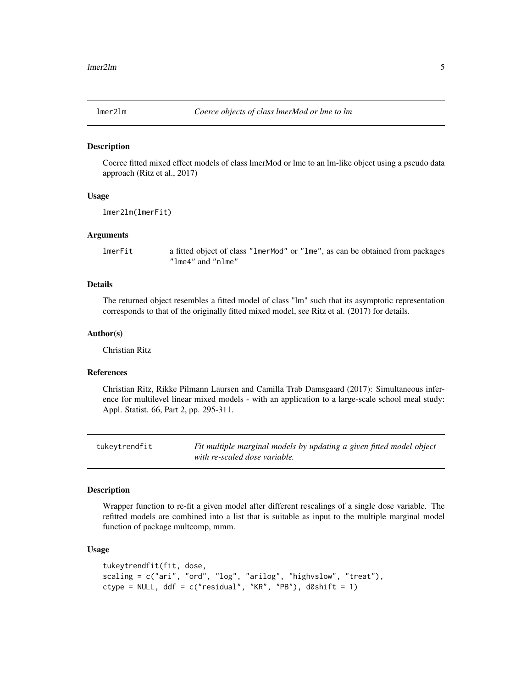<span id="page-4-0"></span>

#### **Description**

Coerce fitted mixed effect models of class lmerMod or lme to an lm-like object using a pseudo data approach (Ritz et al., 2017)

#### Usage

lmer2lm(lmerFit)

#### Arguments

lmerFit a fitted object of class "lmerMod" or "lme", as can be obtained from packages "lme4" and "nlme"

#### Details

The returned object resembles a fitted model of class "lm" such that its asymptotic representation corresponds to that of the originally fitted mixed model, see Ritz et al. (2017) for details.

#### Author(s)

Christian Ritz

#### References

Christian Ritz, Rikke Pilmann Laursen and Camilla Trab Damsgaard (2017): Simultaneous inference for multilevel linear mixed models - with an application to a large-scale school meal study: Appl. Statist. 66, Part 2, pp. 295-311.

<span id="page-4-1"></span>tukeytrendfit *Fit multiple marginal models by updating a given fitted model object with re-scaled dose variable.*

#### Description

Wrapper function to re-fit a given model after different rescalings of a single dose variable. The refitted models are combined into a list that is suitable as input to the multiple marginal model function of package multcomp, mmm.

#### Usage

```
tukeytrendfit(fit, dose,
scaling = c("ari", "ord", "log", "arilog", "highvslow", "treat"),
ctype = NULL, ddf = c("residual", "KR", "PB"), d0shift = 1)
```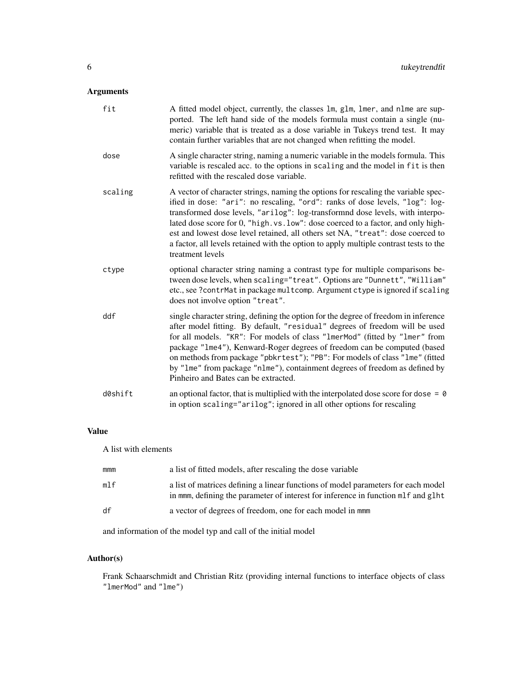#### Arguments

| fit     | A fitted model object, currently, the classes 1m, g1m, 1mer, and n1me are sup-<br>ported. The left hand side of the models formula must contain a single (nu-<br>meric) variable that is treated as a dose variable in Tukeys trend test. It may<br>contain further variables that are not changed when refitting the model.                                                                                                                                                                                                             |
|---------|------------------------------------------------------------------------------------------------------------------------------------------------------------------------------------------------------------------------------------------------------------------------------------------------------------------------------------------------------------------------------------------------------------------------------------------------------------------------------------------------------------------------------------------|
| dose    | A single character string, naming a numeric variable in the models formula. This<br>variable is rescaled acc. to the options in scaling and the model in fit is then<br>refitted with the rescaled dose variable.                                                                                                                                                                                                                                                                                                                        |
| scaling | A vector of character strings, naming the options for rescaling the variable spec-<br>ified in dose: "ari": no rescaling, "ord": ranks of dose levels, "log": log-<br>transformed dose levels, "arilog": log-transformnd dose levels, with interpo-<br>lated dose score for 0, "high. vs. low": dose coerced to a factor, and only high-<br>est and lowest dose level retained, all others set NA, "treat": dose coerced to<br>a factor, all levels retained with the option to apply multiple contrast tests to the<br>treatment levels |
| ctype   | optional character string naming a contrast type for multiple comparisons be-<br>tween dose levels, when scaling="treat". Options are "Dunnett", "William"<br>etc., see ?contrMat in package multcomp. Argument ctype is ignored if scaling<br>does not involve option "treat".                                                                                                                                                                                                                                                          |
| ddf     | single character string, defining the option for the degree of freedom in inference<br>after model fitting. By default, "residual" degrees of freedom will be used<br>for all models. "KR": For models of class "1merMod" (fitted by "1mer" from<br>package "1me4"), Kenward-Roger degrees of freedom can be computed (based<br>on methods from package "pbkrtest"); "PB": For models of class "lme" (fitted<br>by "1me" from package "n1me"), containment degrees of freedom as defined by<br>Pinheiro and Bates can be extracted.      |
| d0shift | an optional factor, that is multiplied with the interpolated dose score for dose = $\theta$<br>in option scaling="arilog"; ignored in all other options for rescaling                                                                                                                                                                                                                                                                                                                                                                    |

#### Value

A list with elements

| mmm | a list of fitted models, after rescaling the dose variable                                                                                                             |
|-----|------------------------------------------------------------------------------------------------------------------------------------------------------------------------|
| mlf | a list of matrices defining a linear functions of model parameters for each model<br>in mmm, defining the parameter of interest for inference in function mlf and glht |
| df  | a vector of degrees of freedom, one for each model in mmm                                                                                                              |

and information of the model typ and call of the initial model

#### Author(s)

Frank Schaarschmidt and Christian Ritz (providing internal functions to interface objects of class "lmerMod" and "lme")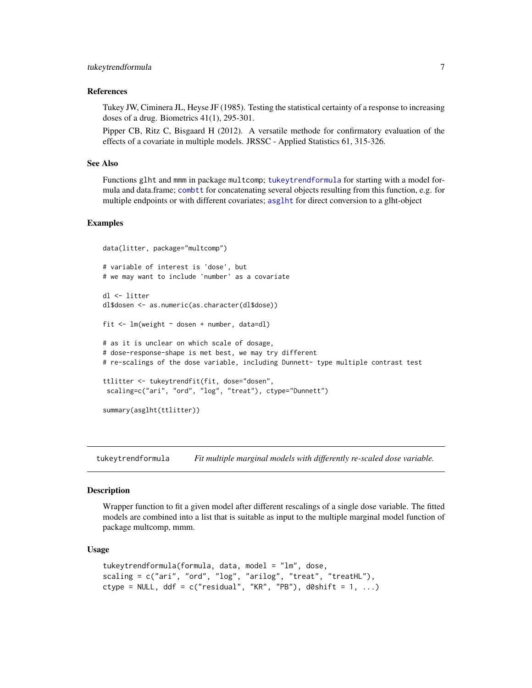#### <span id="page-6-0"></span>References

Tukey JW, Ciminera JL, Heyse JF (1985). Testing the statistical certainty of a response to increasing doses of a drug. Biometrics 41(1), 295-301.

Pipper CB, Ritz C, Bisgaard H (2012). A versatile methode for confirmatory evaluation of the effects of a covariate in multiple models. JRSSC - Applied Statistics 61, 315-326.

#### See Also

Functions glht and mmm in package multcomp; [tukeytrendformula](#page-6-1) for starting with a model formula and data.frame; [combtt](#page-2-1) for concatenating several objects resulting from this function, e.g. for multiple endpoints or with different covariates; [asglht](#page-1-1) for direct conversion to a glht-object

#### Examples

```
data(litter, package="multcomp")
# variable of interest is 'dose', but
# we may want to include 'number' as a covariate
dl <- litter
dl$dosen <- as.numeric(as.character(dl$dose))
fit \leq lm(weight \sim dosen + number, data=dl)
# as it is unclear on which scale of dosage,
# dose-response-shape is met best, we may try different
# re-scalings of the dose variable, including Dunnett- type multiple contrast test
ttlitter <- tukeytrendfit(fit, dose="dosen",
scaling=c("ari", "ord", "log", "treat"), ctype="Dunnett")
summary(asglht(ttlitter))
```
<span id="page-6-1"></span>tukeytrendformula *Fit multiple marginal models with differently re-scaled dose variable.*

#### **Description**

Wrapper function to fit a given model after different rescalings of a single dose variable. The fitted models are combined into a list that is suitable as input to the multiple marginal model function of package multcomp, mmm.

#### Usage

```
tukeytrendformula(formula, data, model = "lm", dose,
scaling = c("ari", "ord", "log", "arilog", "treat", "treatHL"),
ctype = NULL, ddf = c("residual", "KR", "PB"), d0shift = 1, ...)
```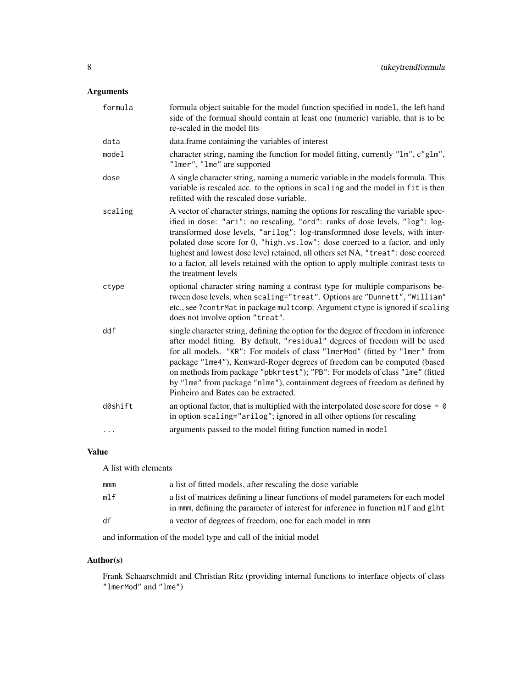#### Arguments

| formula  | formula object suitable for the model function specified in model, the left hand<br>side of the formual should contain at least one (numeric) variable, that is to be<br>re-scaled in the model fits                                                                                                                                                                                                                                                                                                                                  |
|----------|---------------------------------------------------------------------------------------------------------------------------------------------------------------------------------------------------------------------------------------------------------------------------------------------------------------------------------------------------------------------------------------------------------------------------------------------------------------------------------------------------------------------------------------|
| data     | data.frame containing the variables of interest                                                                                                                                                                                                                                                                                                                                                                                                                                                                                       |
| model    | character string, naming the function for model fitting, currently "lm", c"glm",<br>"lmer", "lme" are supported                                                                                                                                                                                                                                                                                                                                                                                                                       |
| dose     | A single character string, naming a numeric variable in the models formula. This<br>variable is rescaled acc. to the options in scaling and the model in fit is then<br>refitted with the rescaled dose variable.                                                                                                                                                                                                                                                                                                                     |
| scaling  | A vector of character strings, naming the options for rescaling the variable spec-<br>ified in dose: "ari": no rescaling, "ord": ranks of dose levels, "log": log-<br>transformed dose levels, "arilog": log-transformned dose levels, with inter-<br>polated dose score for 0, "high.vs.low": dose coerced to a factor, and only<br>highest and lowest dose level retained, all others set NA, "treat": dose coerced<br>to a factor, all levels retained with the option to apply multiple contrast tests to<br>the treatment levels |
| ctype    | optional character string naming a contrast type for multiple comparisons be-<br>tween dose levels, when scaling="treat". Options are "Dunnett", "William"<br>etc., see ?contrMat in package multcomp. Argument ctype is ignored if scaling<br>does not involve option "treat".                                                                                                                                                                                                                                                       |
| ddf      | single character string, defining the option for the degree of freedom in inference<br>after model fitting. By default, "residual" degrees of freedom will be used<br>for all models. "KR": For models of class "1merMod" (fitted by "1mer" from<br>package "1me4"), Kenward-Roger degrees of freedom can be computed (based<br>on methods from package "pbkrtest"); "PB": For models of class "1me" (fitted<br>by "1me" from package "n1me"), containment degrees of freedom as defined by<br>Pinheiro and Bates can be extracted.   |
| d0shift  | an optional factor, that is multiplied with the interpolated dose score for dose = $\theta$<br>in option scaling="arilog"; ignored in all other options for rescaling                                                                                                                                                                                                                                                                                                                                                                 |
| $\cdots$ | arguments passed to the model fitting function named in model                                                                                                                                                                                                                                                                                                                                                                                                                                                                         |

#### Value

A list with elements

| mmm | a list of fitted models, after rescaling the dose variable                                                                                                             |
|-----|------------------------------------------------------------------------------------------------------------------------------------------------------------------------|
| m1f | a list of matrices defining a linear functions of model parameters for each model<br>in mmm, defining the parameter of interest for inference in function mlf and glht |
| df  | a vector of degrees of freedom, one for each model in mmm                                                                                                              |
|     | and information of the model type and call of the initial model                                                                                                        |

Author(s)

Frank Schaarschmidt and Christian Ritz (providing internal functions to interface objects of class "lmerMod" and "lme")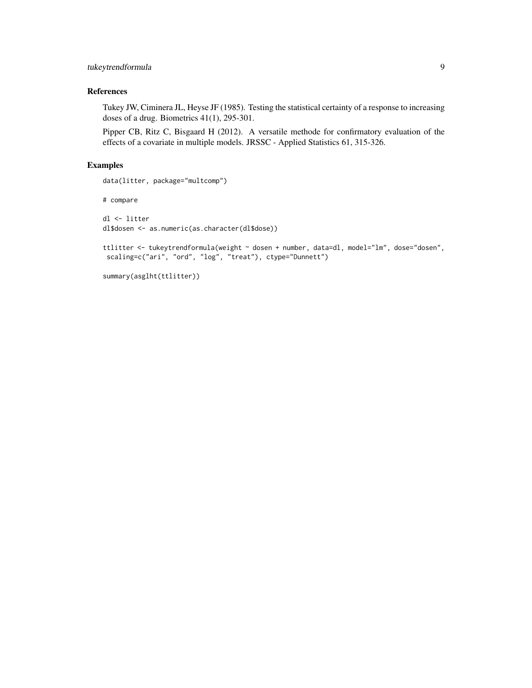#### tukeytrendformula 9

#### References

Tukey JW, Ciminera JL, Heyse JF (1985). Testing the statistical certainty of a response to increasing doses of a drug. Biometrics 41(1), 295-301.

Pipper CB, Ritz C, Bisgaard H (2012). A versatile methode for confirmatory evaluation of the effects of a covariate in multiple models. JRSSC - Applied Statistics 61, 315-326.

#### Examples

data(litter, package="multcomp")

# compare

dl <- litter dl\$dosen <- as.numeric(as.character(dl\$dose))

ttlitter <- tukeytrendformula(weight ~ dosen + number, data=dl, model="lm", dose="dosen", scaling=c("ari", "ord", "log", "treat"), ctype="Dunnett")

summary(asglht(ttlitter))